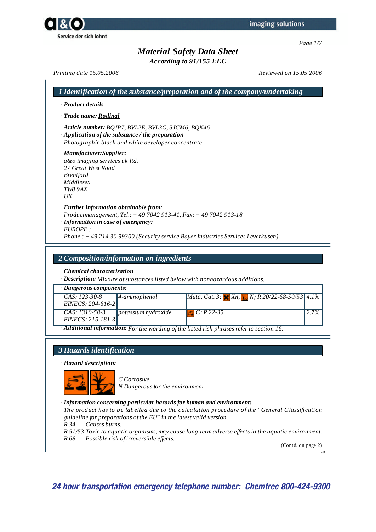*According to 91/155 EEC*

*Printing date 15.05.2006 Reviewed on 15.05.2006*

|                                                                                                                                                                                                                                               | 1 Identification of the substance/preparation and of the company/undertaking                                                                            |
|-----------------------------------------------------------------------------------------------------------------------------------------------------------------------------------------------------------------------------------------------|---------------------------------------------------------------------------------------------------------------------------------------------------------|
| · Product details                                                                                                                                                                                                                             |                                                                                                                                                         |
| · Trade name: Rodinal                                                                                                                                                                                                                         |                                                                                                                                                         |
| · Article number: BQJP7, BVL2E, BVL3G, 5JCM6, BQK46<br>$\cdot$ Application of the substance / the preparation<br>Photographic black and white developer concentrate<br>a&o imaging services uk ltd.<br>27 Great West Road<br><i>Brentford</i> |                                                                                                                                                         |
| · Manufacturer/Supplier:<br>Middlesex<br><b>TW8 9AX</b><br>$_{I/K}$                                                                                                                                                                           |                                                                                                                                                         |
| · Further information obtainable from:<br>$\cdot$ Information in case of emergency:<br>EUROPE:                                                                                                                                                | Productmanagement, Tel.: $+$ 49 7042 913-41, Fax: $+$ 49 7042 913-18<br>Phone: +49 214 30 99300 (Security service Bayer Industries Services Leverkusen) |

### *2 Composition/information on ingredients*

*· Chemical characterization*

*· Description: Mixture ofsubstances listed below with nonhazardous additions.*

| · Dangerous components: |                                     |                                                                                                                        |          |
|-------------------------|-------------------------------------|------------------------------------------------------------------------------------------------------------------------|----------|
| $CAS: 123-30-8$         | $ 4$ -aminophenol                   | <i>Muta. Cat. 3;</i> $\times$ <i>Xn,</i> $\cdot$ <i>N; R 20/22-68-50/53 4.1%</i>                                       |          |
| $EINECS: 204-616-2$     |                                     |                                                                                                                        |          |
| CAS: 1310-58-3          | $\boldsymbol{p}$ otassium hydroxide | $\boxed{ -1 \ C; R\ 22-35}$                                                                                            | $12.7\%$ |
| $EINECS: 215-181-3$     |                                     |                                                                                                                        |          |
|                         |                                     | $\overline{\textbf{A}}$ <b>Additional information:</b> For the wording of the listed risk phrases refer to section 16. |          |

## *3 Hazards identification*

*· Hazard description:*



*C Corrosive N Dangerous for the environment*

#### *· Information concerning particular hazards for human and environment:*

*The product has to be labelled due to the calculation procedure of the "General Classification guideline for preparations of the EU" in the latest valid version.*

*R 34 Causes burns.*

*R 51/53 Toxic to aquatic organisms, may cause long-term adverse ef ects in the aquatic environment. R 68 Possible risk of irreversible ef ects.*

(Contd. on page 2)

GB

**24 hour transportation emergency telephone number: Chemtrec 800-424-9300**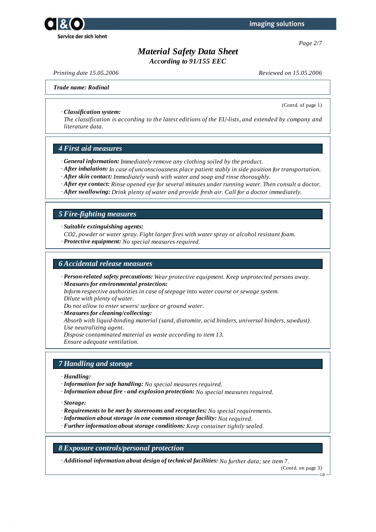

*Page 2/7*

## *Material Safety Data Sheet*

*According to 91/155 EEC*

*Printing date 15.05.2006 Reviewed on 15.05.2006*

(Contd. of page 1)

#### *Trade name: Rodinal*

*· Classification system:*

*The classification is according to the latest editions of the EU-lists, and extended by company and literature data.*

#### *4 First aid measures*

- *· General information: Immediately remove any clothing soiled by the product.*
- *· After inhalation: In case of unconsciousness place patient stably in side position for transportation.*
- *· After skin contact: Immediately wash with water and soap and rinse thoroughly.*
- *· After eye contact: Rinse opened eye for several minutes under running water. Then consult a doctor.*
- *· After swallowing: Drink plenty of water and provide fresh air. Call for a doctor immediately.*

#### *5 Fire-fighting measures*

*· Suitable extinguishing agents:*

- *CO2, powder or water spray. Fight larger fires with water spray or alcohol resistant foam.*
- *· Protective equipment: No special measures required.*

### *6 Accidental release measures*

- *· Person-related safety precautions: Wear protective equipment. Keep unprotected persons away.*
- *· Measures for environmental protection:*

*Inform respective authorities in case ofseepage into water course or sewage system. Dilute with plenty of water.*

*Do not allow to enter sewers/ surface or ground water.*

*· Measures for cleaning/collecting: Absorb with liquid-binding material (sand, diatomite, acid binders, universal binders, sawdust). Use neutralizing agent. Dispose contaminated material as waste according to item 13. Ensure adequate ventilation.*

#### *7 Handling and storage*

- *· Handling:*
- *· Information for safe handling: No special measures required.*
- *· Information about fire - and explosion protection: No special measures required.*
- *· Storage:*
- *· Requirements to be met by storerooms and receptacles: No special requirements.*
- *· Information about storage in one common storage facility: Not required.*
- *· Further information about storage conditions: Keep container tightly sealed.*

#### *8 Exposure controls/personal protection*

*· Additional information about design of technical facilities: No further data; see item 7.*

(Contd. on page 3)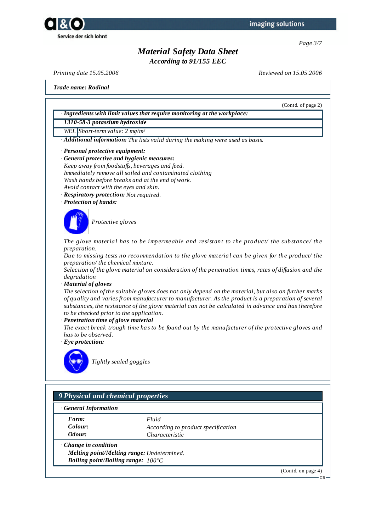



*According to 91/155 EEC*

*Printing date 15.05.2006 Reviewed on 15.05.2006*

*Trade name: Rodinal*

(Contd. of page 2)

*· Ingredients with limit values that require monitoring at the workplace:*

*1310-58-3 potassium hydroxide*

- *WEL Short-term value: 2 mg/m³*
- *· Additional information: The lists valid during the making were used as basis.*
- *· Personal protective equipment:*
- *· General protective and hygienic measures: Keep away from foodstufs, beverages and feed. Immediately remove all soiled and contaminated clothing Wash hands before breaks and at the end of work. Avoid contact with the eyes and skin.*
- *· Respiratory protection: Not required.*
- *· Protection of hands:*



*Protective gloves*

*The glove material has to be impermeable and resistant to the product/ the substance/ the preparation.*

*Due to missing tests no recommendation to the glove material can be given for the product/ the preparation/ the chemical mixture.*

*Selection of the glove material on consideration of the penetration times, rates of dif usion and the degradation*

### *· Material of gloves*

The selection of the suitable gloves does not only depend on the material, but also on further marks *of quality and varies from manufacturer to manufacturer. As the product is a preparation of several substances, the resistance of the glove material can not be calculated in advance and has therefore to be checked prior to the application.*

#### *· Penetration time of glove material*

*The exact break trough time has to be found out by the manufacturer of the protective gloves and has to be observed.*

*· Eye protection:*



*Tightly sealed goggles*

## *9 Physical and chemical properties*

| <b>General Information</b> |  |
|----------------------------|--|
|                            |  |

*Form: Fluid*

*Colour: According to product specification Odour: Characteristic*

- *· Change in condition*
	- *Melting point/Melting range: Undetermined. Boiling point/Boiling range: 100°C*

(Contd. on page 4)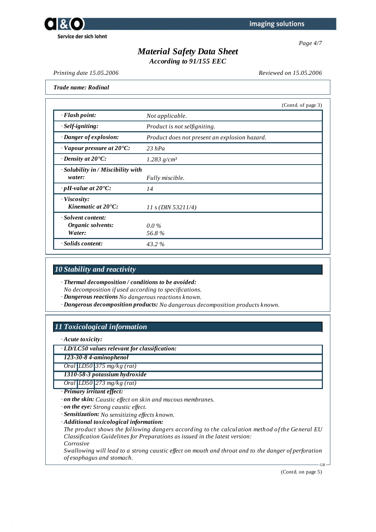

*Page 4/7*

# *Material Safety Data Sheet*

*According to 91/155 EEC*

*Printing date 15.05.2006 Reviewed on 15.05.2006*

|                                                    |                                               | (Contd. of page 3) |
|----------------------------------------------------|-----------------------------------------------|--------------------|
| $\cdot$ Flash point:                               | Not applicable.                               |                    |
| $·$ <i>Self-igniting</i> :                         | Product is not selfigniting.                  |                    |
| · Danger of explosion:                             | Product does not present an explosion hazard. |                    |
| $\cdot$ Vapour pressure at 20 $\textdegree$ C:     | $23$ hPa                                      |                    |
| $\cdot$ Density at 20 $\degree$ C:                 | $1.283$ g/cm <sup>3</sup>                     |                    |
| · Solubility in / Miscibility with<br>water:       | Fully miscible.                               |                    |
| $\cdot$ pH-value at 20°C:                          | 14                                            |                    |
| $\cdot$ Viscosity:<br>Kinematic at $20^{\circ}$ C: | $11 s$ (DIN 53211/4)                          |                    |
| Solvent content:<br>Organic solvents:<br>Water:    | $0.0\%$<br>56.8%                              |                    |
| · Solids content:                                  | 43.2%                                         |                    |

#### *10 Stability and reactivity*

*· Thermal decomposition / conditions to be avoided:*

*No decomposition if used according to specifications.*

*· Dangerous reactions No dangerous reactions known.*

*· Dangerous decomposition products: No dangerous decomposition products known.*

## *11 Toxicological information*

*· Acute toxicity:*

*· LD/LC50 values relevant for classification:*

*123-30-8 4-aminophenol*

*Oral LD50 375 mg/kg (rat)*

*1310-58-3 potassium hydroxide*

*Oral LD50 273 mg/kg (rat)*

*· Primary irritant effect:*

- *· on the skin: Caustic ef ect on skin and mucous membranes.*
- *· on the eye: Strong caustic ef ect.*
- *· Sensitization: No sensitizing ef ects known.*

*· Additional toxicological information:*

*The product shows the following dangers according to the calculation method of the General EU Classification Guidelines for Preparations as issued in the latest version: Corrosive*

Swallowing will lead to a strong caustic effect on mouth and throat and to the danger of perforation *of esophagus and stomach.*

(Contd. on page 5)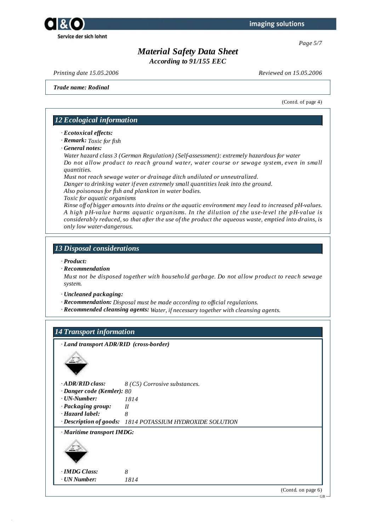



*According to 91/155 EEC*

*Printing date 15.05.2006 Reviewed on 15.05.2006*

*Trade name: Rodinal*

(Contd. of page 4)

## *12 Ecological information*

- *· Ecotoxical effects:*
- *· Remark: Toxic for fish*
- *· General notes:*

*Water hazard class 3 (German Regulation) (Self-assessment): extremely hazardous for water Do not allow product to reach ground water, water course or sewage system, even in small quantities.*

*Must not reach sewage water or drainage ditch undiluted or unneutralized. Danger to drinking water if even extremely small quantities leak into the ground.*

*Also poisonous for fish and plankton in water bodies.*

*Toxic for aquatic organisms*

*Rinse of of bigger amounts into drains or the aquatic environment may lead to increased pH-values. A high pH-value harms aquatic organisms. In the dilution of the use-level the pH-value is considerably reduced, so that after the use of the product the aqueous waste, emptied into drains, is only low water-dangerous.*

## *13 Disposal considerations*

#### *· Product:*

*· Recommendation*

*Must not be disposed together with household garbage. Do not allow product to reach sewage system.*

*· Uncleaned packaging:*

- *· Recommendation: Disposal must be made according to of icial regulations.*
- *· Recommended cleansing agents: Water, if necessary together with cleansing agents.*

## *14 Transport information*

*· Land transport ADR/RID (cross-border)*



*· ADR/RID class: 8 (C5) Corrosive substances.*

- *· Danger code (Kemler): 80*
- *· UN-Number: 1814*

*· Packaging group: II*

*· Hazard label: 8*

*· Description of goods: 1814 POTASSIUM HYDROXIDE SOLUTION*

*· Maritime transport IMDG:*



*· IMDG Class: 8 · UN Number: 1814*

(Contd. on page 6)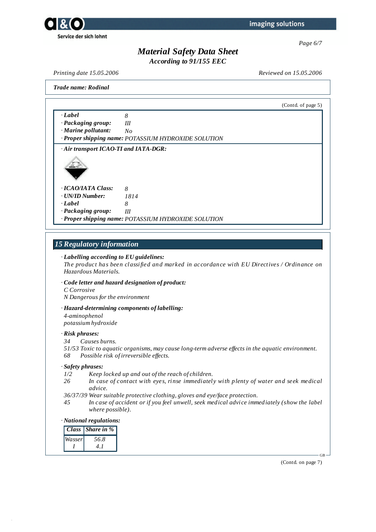



*According to 91/155 EEC*

*Printing date 15.05.2006 Reviewed on 15.05.2006*

*Trade name: Rodinal*

(Contd. of page 5) *· Label 8 · Packaging group: III · Marine pollutant: No · Proper shipping name: POTASSIUM HYDROXIDE SOLUTION · Air transport ICAO-TI and IATA-DGR: · ICAO/IATA Class: 8 · UN/ID Number: 1814 · Label 8 · Packaging group: III · Proper shipping name: POTASSIUM HYDROXIDE SOLUTION*

## *15 Regulatory information*

#### *· Labelling according to EU guidelines:*

*The product has been classified and marked in accordance with EU Directives / Ordinance on Hazardous Materials.*

- *· Code letter and hazard designation of product:*
- *C Corrosive*
- *N Dangerous for the environment*

#### *· Hazard-determining components of labelling:*

*4-aminophenol potassium hydroxide*

#### *· Risk phrases:*

- *34 Causes burns.*
- *51/53 Toxic to aquatic organisms, may cause long-term adverse ef ects in the aquatic environment. 68 Possible risk of irreversible ef ects.*

#### *· Safety phrases:*

- *1/2 Keep locked up and out of the reach of children.*
- *26 In case of contact with eyes, rinse immediately with plenty of water and seek medical advice.*
- *36/37/39 Wear suitable protective clothing, gloves and eye/face protection.*
- *45 In case of accident or if you feel unwell, seek medical advice immediately (show the label where possible).*

#### *· National regulations:*

|        | <b>Class</b> Share in % |
|--------|-------------------------|
| Wasser | 56.8                    |
|        |                         |

(Contd. on page 7)